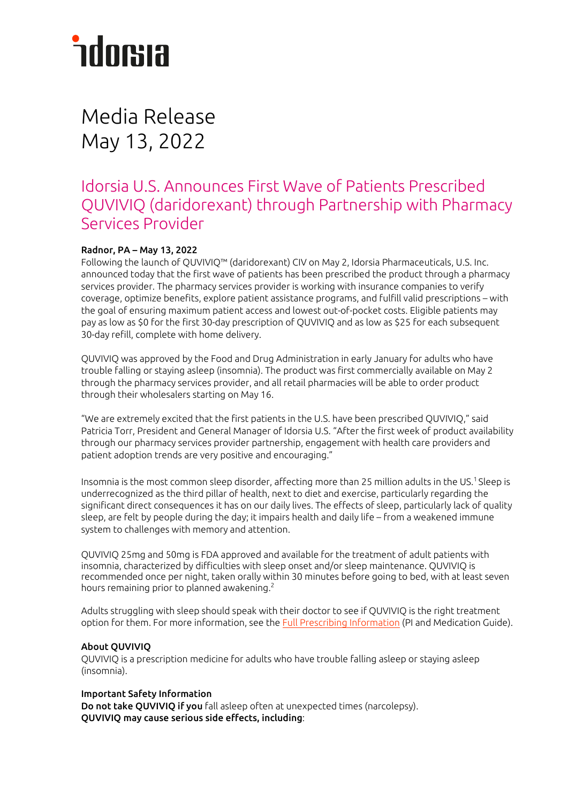# *<u>ndorsia</u>*

### Media Release May 13, 2022

### Idorsia U.S. Announces First Wave of Patients Prescribed QUVIVIQ (daridorexant) through Partnership with Pharmacy Services Provider

#### Radnor, PA – May 13, 2022

Following the launch of QUVIVIQ™ (daridorexant) CIV on May 2, Idorsia Pharmaceuticals, U.S. Inc. announced today that the first wave of patients has been prescribed the product through a pharmacy services provider. The pharmacy services provider is working with insurance companies to verify coverage, optimize benefits, explore patient assistance programs, and fulfill valid prescriptions – with the goal of ensuring maximum patient access and lowest out-of-pocket costs. Eligible patients may pay as low as \$0 for the first 30-day prescription of QUVIVIQ and as low as \$25 for each subsequent 30-day refill, complete with home delivery.

QUVIVIQ was approved by the Food and Drug Administration in early January for adults who have trouble falling or staying asleep (insomnia). The product was first commercially available on May 2 through the pharmacy services provider, and all retail pharmacies will be able to order product through their wholesalers starting on May 16.

"We are extremely excited that the first patients in the U.S. have been prescribed QUVIVIQ," said Patricia Torr, President and General Manager of Idorsia U.S. "After the first week of product availability through our pharmacy services provider partnership, engagement with health care providers and patient adoption trends are very positive and encouraging."

Insomnia is the most common sleep disorder, affecting more than 25 million adults in the US. 1 Sleep is underrecognized as the third pillar of health, next to diet and exercise, particularly regarding the significant direct consequences it has on our daily lives. The effects of sleep, particularly lack of quality sleep, are felt by people during the day; it impairs health and daily life – from a weakened immune system to challenges with memory and attention.

QUVIVIQ 25mg and 50mg is FDA approved and available for the treatment of adult patients with insomnia, characterized by difficulties with sleep onset and/or sleep maintenance. QUVIVIQ is recommended once per night, taken orally within 30 minutes before going to bed, with at least seven hours remaining prior to planned awakening. $2$ 

Adults struggling with sleep should speak with their doctor to see if QUVIVIQ is the right treatment option for them. For more information, see the [Full Prescribing Information](https://www.idorsia.us/documents/us/label/Quviviq_PI.pdf) (PI and Medication Guide).

#### About QUVIVIQ

QUVIVIQ is a prescription medicine for adults who have trouble falling asleep or staying asleep (insomnia).

#### Important Safety Information

Do not take QUVIVIQ if you fall asleep often at unexpected times (narcolepsy). QUVIVIQ may cause serious side effects, including: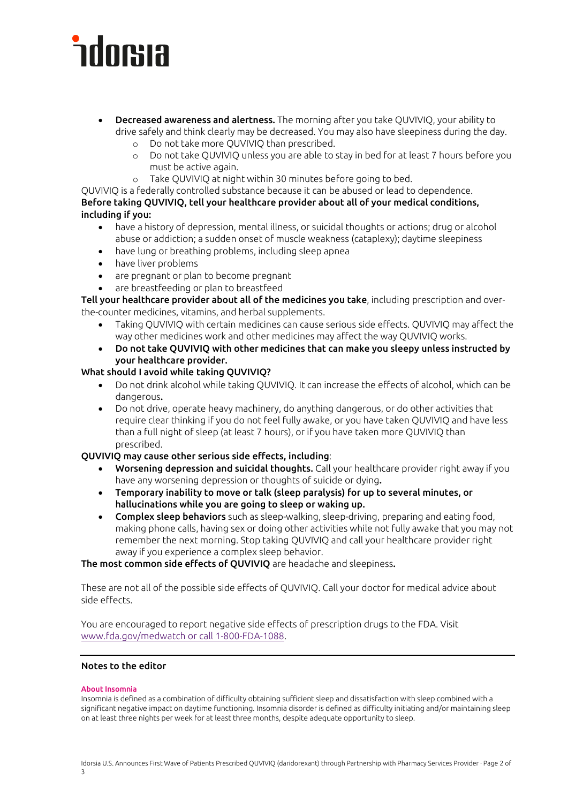# *<u>ndorsia</u>*

- **Decreased awareness and alertness.** The morning after you take QUVIVIQ, your ability to drive safely and think clearly may be decreased. You may also have sleepiness during the day.
	- o Do not take more QUVIVIQ than prescribed.
	- Do not take QUVIVIQ unless you are able to stay in bed for at least 7 hours before you must be active again.
	- o Take QUVIVIQ at night within 30 minutes before going to bed.

QUVIVIQ is a federally controlled substance because it can be abused or lead to dependence. Before taking QUVIVIQ, tell your healthcare provider about all of your medical conditions, including if you:

- have a history of depression, mental illness, or suicidal thoughts or actions; drug or alcohol abuse or addiction; a sudden onset of muscle weakness (cataplexy); daytime sleepiness
- have lung or breathing problems, including sleep apnea
- have liver problems
- are pregnant or plan to become pregnant
- are breastfeeding or plan to breastfeed

Tell your healthcare provider about all of the medicines you take, including prescription and overthe-counter medicines, vitamins, and herbal supplements.

- Taking QUVIVIQ with certain medicines can cause serious side effects. QUVIVIQ may affect the way other medicines work and other medicines may affect the way QUVIVIQ works.
- Do not take QUVIVIQ with other medicines that can make you sleepy unless instructed by your healthcare provider.

#### What should I avoid while taking QUVIVIQ?

- Do not drink alcohol while taking QUVIVIQ. It can increase the effects of alcohol, which can be dangerous.
- Do not drive, operate heavy machinery, do anything dangerous, or do other activities that require clear thinking if you do not feel fully awake, or you have taken QUVIVIQ and have less than a full night of sleep (at least 7 hours), or if you have taken more QUVIVIQ than prescribed.

#### QUVIVIQ may cause other serious side effects, including:

- Worsening depression and suicidal thoughts. Call your healthcare provider right away if you have any worsening depression or thoughts of suicide or dying.
- Temporary inability to move or talk (sleep paralysis) for up to several minutes, or hallucinations while you are going to sleep or waking up.
- Complex sleep behaviors such as sleep-walking, sleep-driving, preparing and eating food, making phone calls, having sex or doing other activities while not fully awake that you may not remember the next morning. Stop taking QUVIVIQ and call your healthcare provider right away if you experience a complex sleep behavior.

The most common side effects of QUVIVIQ are headache and sleepiness.

These are not all of the possible side effects of QUVIVIQ. Call your doctor for medical advice about side effects.

You are encouraged to report negative side effects of prescription drugs to the FDA. Visit [www.fda.gov/medwatch](http://www.fda.gov/medwatch%20or%20call%201-800-FDA-1088) or call 1-800-FDA-1088.

#### Notes to the editor

#### About Insomnia

Insomnia is defined as a combination of difficulty obtaining sufficient sleep and dissatisfaction with sleep combined with a significant negative impact on daytime functioning. Insomnia disorder is defined as difficulty initiating and/or maintaining sleep on at least three nights per week for at least three months, despite adequate opportunity to sleep.